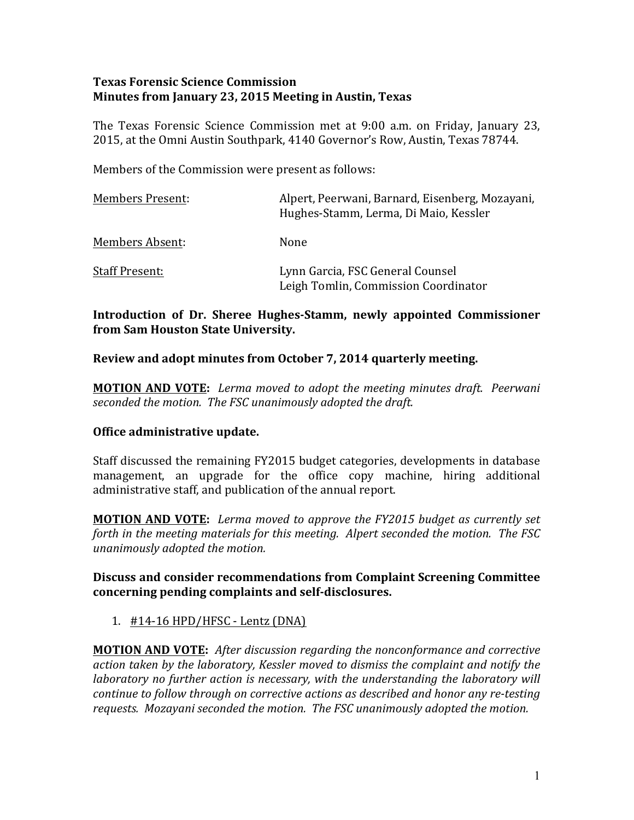# **Texas Forensic Science Commission Minutes from January 23, 2015 Meeting in Austin, Texas**

The Texas Forensic Science Commission met at 9:00 a.m. on Friday, January 23, 2015, at the Omni Austin Southpark, 4140 Governor's Row, Austin, Texas 78744.

Members of the Commission were present as follows:

| <b>Members Present:</b> | Alpert, Peerwani, Barnard, Eisenberg, Mozayani,<br>Hughes-Stamm, Lerma, Di Maio, Kessler |
|-------------------------|------------------------------------------------------------------------------------------|
| Members Absent:         | None                                                                                     |
| <b>Staff Present:</b>   | Lynn Garcia, FSC General Counsel<br>Leigh Tomlin, Commission Coordinator                 |

# **Introduction of Dr. Sheree Hughes-Stamm, newly appointed Commissioner from Sam Houston State University.**

# **Review and adopt minutes from October 7, 2014 quarterly meeting.**

**MOTION AND VOTE:** *Lerma moved to adopt the meeting minutes draft. Peerwani* seconded the motion. The FSC unanimously adopted the draft.

# **Office administrative update.**

Staff discussed the remaining FY2015 budget categories, developments in database management, an upgrade for the office copy machine, hiring additional administrative staff, and publication of the annual report.

**MOTION AND VOTE:** Lerma moved to approve the FY2015 budget as currently set *forth* in the meeting materials for this meeting. Alpert seconded the motion. The FSC *unanimously adopted the motion.*

# **Discuss and consider recommendations from Complaint Screening Committee** concerning pending complaints and self-disclosures.

1. #14-16 HPD/HFSC - Lentz (DNA)

**MOTION AND VOTE:** After discussion regarding the nonconformance and corrective action taken by the laboratory, Kessler moved to dismiss the complaint and notify the *laboratory* no further action is necessary, with the understanding the laboratory will *continue to follow through on corrective actions as described and honor any re-testing* requests. Mozayani seconded the motion. The FSC unanimously adopted the motion.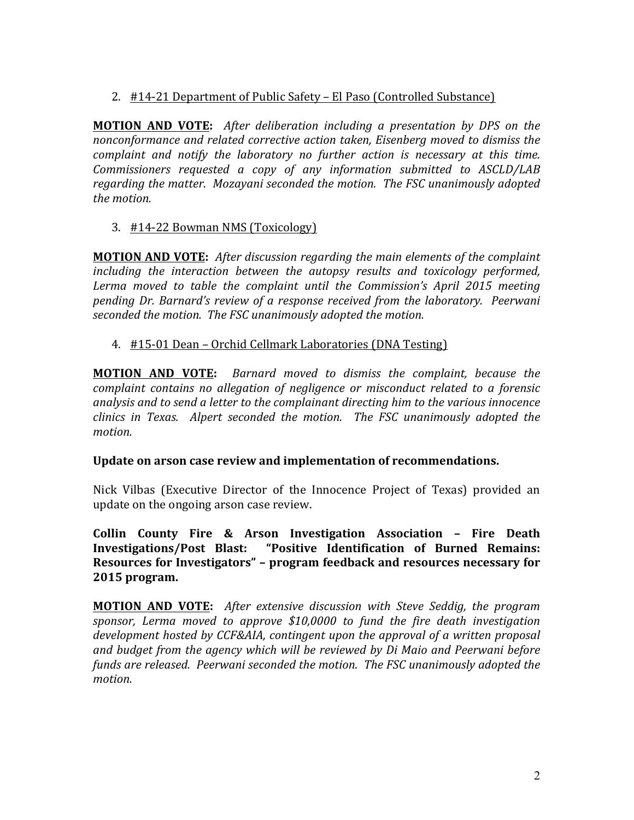2. #14-21 Department of Public Safety – El Paso (Controlled Substance)

**MOTION AND VOTE:** After deliberation including a presentation by DPS on the *nonconformance and related corrective action taken, Eisenberg moved to dismiss the complaint and notify the laboratory no further action is necessary at this time.* Commissioners requested a copy of any information submitted to ASCLD/LAB regarding the matter. Mozayani seconded the motion. The FSC unanimously adopted *the motion.* 

3. #14-22 Bowman NMS (Toxicology)

**MOTION AND VOTE:** After discussion regarding the main elements of the complaint *including the interaction between the autopsy results and toxicology performed,* Lerma moved to table the complaint until the Commission's April 2015 meeting pending Dr. Barnard's review of a response received from the laboratory. Peerwani *seconded the motion. The FSC unanimously adopted the motion.* 

# 4. #15-01 Dean – Orchid Cellmark Laboratories (DNA Testing)

**MOTION AND VOTE:** Barnard moved to dismiss the complaint, because the *complaint contains no allegation of negligence or misconduct related to a forensic analysis and to send a letter to the complainant directing him to the various innocence clinics* in Texas. Alpert seconded the motion. The FSC unanimously adopted the *motion.* 

# Update on arson case review and implementation of recommendations.

Nick Vilbas (Executive Director of the Innocence Project of Texas) provided an update on the ongoing arson case review.

**Collin County Fire & Arson Investigation Association - Fire Death Investigations/Post Blast: "Positive Identification of Burned Remains: Resources for Investigators" - program feedback and resources necessary for 2015 program.**

**MOTION AND VOTE:** After extensive discussion with Steve Seddig, the program sponsor, Lerma moved to approve \$10,0000 to fund the fire death investigation *development hosted by CCF&AIA, contingent upon the approval of a written proposal* and budget from the agency which will be reviewed by Di Maio and Peerwani before funds are released. Peerwani seconded the motion. The FSC unanimously adopted the *motion.*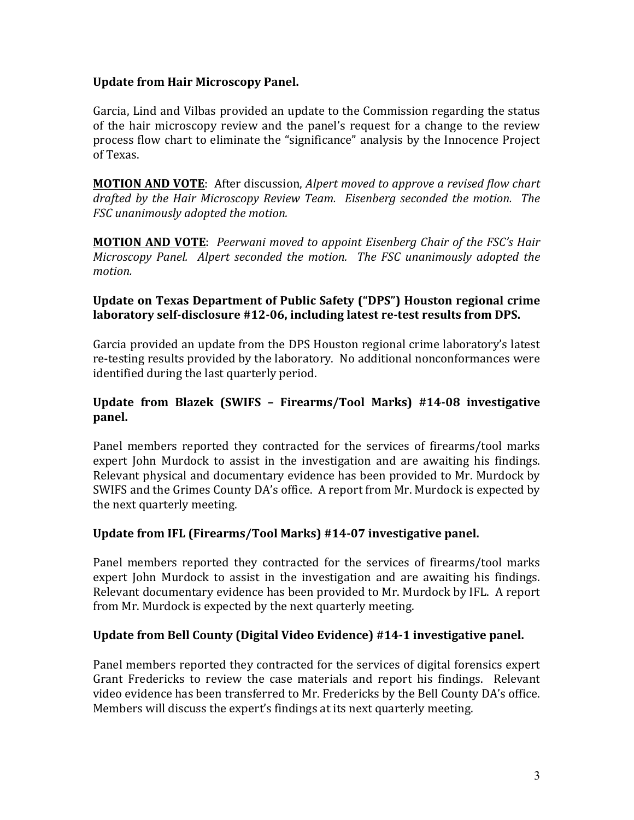# **Update from Hair Microscopy Panel.**

Garcia, Lind and Vilbas provided an update to the Commission regarding the status of the hair microscopy review and the panel's request for a change to the review process flow chart to eliminate the "significance" analysis by the Innocence Project of Texas.

**MOTION AND VOTE:** After discussion, *Alpert moved to approve a revised flow chart* drafted by the Hair Microscopy Review Team. Eisenberg seconded the motion. The *FSC* unanimously adopted the motion.

**MOTION AND VOTE:** Peerwani moved to appoint Eisenberg Chair of the FSC's Hair *Microscopy Panel. Alpert seconded the motion. The FSC unanimously adopted the motion.*

# **Update on Texas Department of Public Safety ("DPS") Houston regional crime** laboratory self-disclosure #12-06, including latest re-test results from DPS.

Garcia provided an update from the DPS Houston regional crime laboratory's latest re-testing results provided by the laboratory. No additional nonconformances were identified during the last quarterly period.

# **Update from Blazek (SWIFS – Firearms/Tool Marks) #14-08 investigative panel.**

Panel members reported they contracted for the services of firearms/tool marks expert John Murdock to assist in the investigation and are awaiting his findings. Relevant physical and documentary evidence has been provided to Mr. Murdock by SWIFS and the Grimes County DA's office. A report from Mr. Murdock is expected by the next quarterly meeting.

# Update from IFL (Firearms/Tool Marks) #14-07 investigative panel.

Panel members reported they contracted for the services of firearms/tool marks expert John Murdock to assist in the investigation and are awaiting his findings. Relevant documentary evidence has been provided to Mr. Murdock by IFL. A report from Mr. Murdock is expected by the next quarterly meeting.

# Update from Bell County (Digital Video Evidence) #14-1 investigative panel.

Panel members reported they contracted for the services of digital forensics expert Grant Fredericks to review the case materials and report his findings. Relevant video evidence has been transferred to Mr. Fredericks by the Bell County DA's office. Members will discuss the expert's findings at its next quarterly meeting.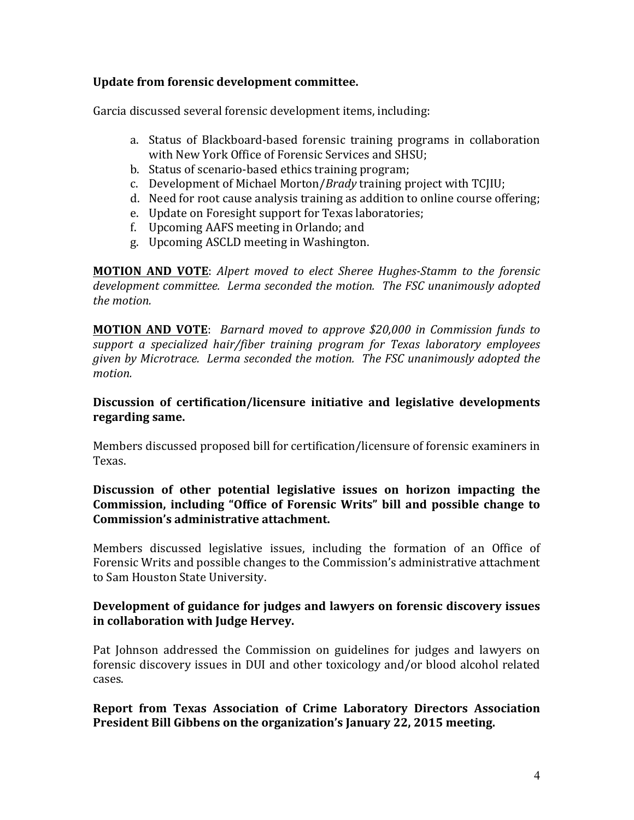# Update from forensic development committee.

Garcia discussed several forensic development items, including:

- a. Status of Blackboard-based forensic training programs in collaboration with New York Office of Forensic Services and SHSU;
- b. Status of scenario-based ethics training program;
- c. Development of Michael Morton/*Brady* training project with TCJIU;
- d. Need for root cause analysis training as addition to online course offering;
- e. Update on Foresight support for Texas laboratories:
- f. Upcoming AAFS meeting in Orlando; and
- g. Upcoming ASCLD meeting in Washington.

**MOTION AND VOTE:** Alpert moved to elect Sheree Hughes-Stamm to the forensic development committee. Lerma seconded the motion. The FSC unanimously adopted *the motion.*

**MOTION AND VOTE:** Barnard moved to approve \$20,000 in Commission funds to support a specialized hair/fiber training program for Texas laboratory employees *given by Microtrace. Lerma seconded the motion. The FSC unanimously adopted the motion.*

# Discussion of certification/licensure initiative and legislative developments **regarding same.**

Members discussed proposed bill for certification/licensure of forensic examiners in Texas.

# Discussion of other potential legislative issues on horizon impacting the Commission, including "Office of Forensic Writs" bill and possible change to **Commission's administrative attachment.**

Members discussed legislative issues, including the formation of an Office of Forensic Writs and possible changes to the Commission's administrative attachment to Sam Houston State University.

# **Development of guidance for judges and lawyers on forensic discovery issues in collaboration with Judge Hervey.**

Pat Johnson addressed the Commission on guidelines for judges and lawyers on forensic discovery issues in DUI and other toxicology and/or blood alcohol related cases.

# **Report from Texas Association of Crime Laboratory Directors Association President Bill Gibbens on the organization's January 22, 2015 meeting.**